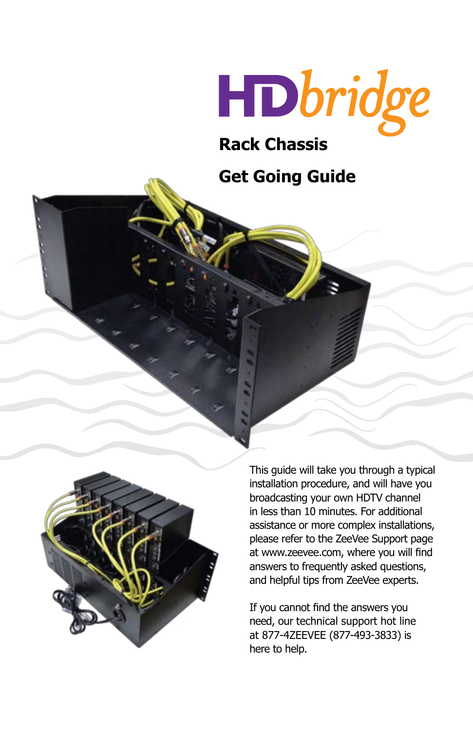

# **Rack Chassis**

## **Get Going Guide**



This guide will take you through a typical installation procedure, and will have you broadcasting your own HDTV channel in less than 10 minutes. For additional assistance or more complex installations, please refer to the ZeeVee Support page at www.zeevee.com, where you will find answers to frequently asked questions, and helpful tips from ZeeVee experts.

If you cannot find the answers you need, our technical support hot line at 877-4ZEEVEE (877-493-3833) is here to help.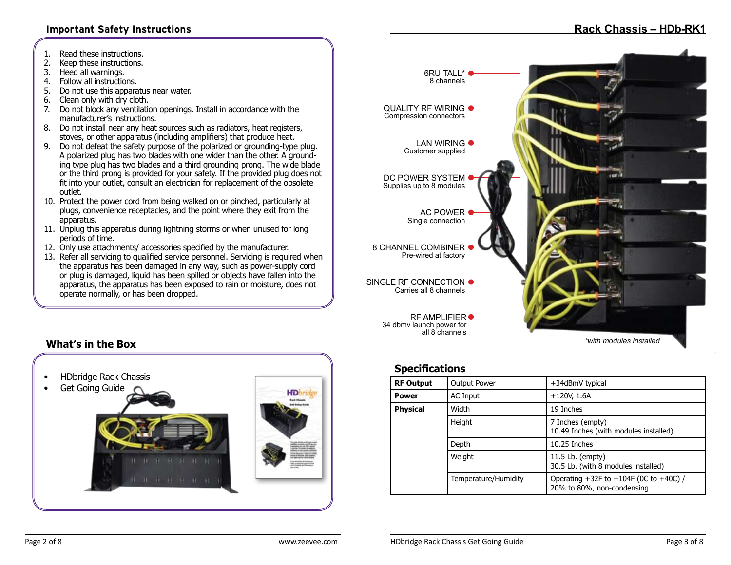#### **Important Safety Instructions**

- 1. Read these instructions.
- 2. Keep these instructions.
- 3. Heed all warnings.
- 4. Follow all instructions.<br>5. Do not use this appara
- 5. Do not use this apparatus near water.
- 6. Clean only with dry cloth.
- 7. Do not block any ventilation openings. Install in accordance with the manufacturer's instructions.
- 8. Do not install near any heat sources such as radiators, heat registers, stoves, or other apparatus (including amplifiers) that produce heat.
- 9. Do not defeat the safety purpose of the polarized or grounding-type plug. A polarized plug has two blades with one wider than the other. A grounding type plug has two blades and a third grounding prong. The wide blade or the third prong is provided for your safety. If the provided plug does not fit into your outlet, consult an electrician for replacement of the obsolete outlet.
- 10. Protect the power cord from being walked on or pinched, particularly at plugs, convenience receptacles, and the point where they exit from the apparatus.
- 11. Unplug this apparatus during lightning storms or when unused for long periods of time.
- 12. Only use attachments/ accessories specified by the manufacturer.
- 13. Refer all servicing to qualified service personnel. Servicing is required when the apparatus has been damaged in any way, such as power-supply cord or plug is damaged, liquid has been spilled or objects have fallen into the apparatus, the apparatus has been exposed to rain or moisture, does not operate normally, or has been dropped.



### **Specifications**

| <b>RF Output</b> | <b>Output Power</b>  | +34dBmV typical                                                             |
|------------------|----------------------|-----------------------------------------------------------------------------|
| <b>Power</b>     | AC Input             | $+120V, 1.6A$                                                               |
| <b>Physical</b>  | Width                | 19 Inches                                                                   |
|                  | Height               | 7 Inches (empty)<br>10.49 Inches (with modules installed)                   |
|                  | Depth                | $10.25$ Inches                                                              |
|                  | Weight               | 11.5 Lb. (empty)<br>30.5 Lb. (with 8 modules installed)                     |
|                  | Temperature/Humidity | Operating $+32F$ to $+104F$ (OC to $+40C$ ) /<br>20% to 80%, non-condensing |

### **What's in the Box**

• HDbridge Rack Chassis • Get Going Guide **B R R R R R R R**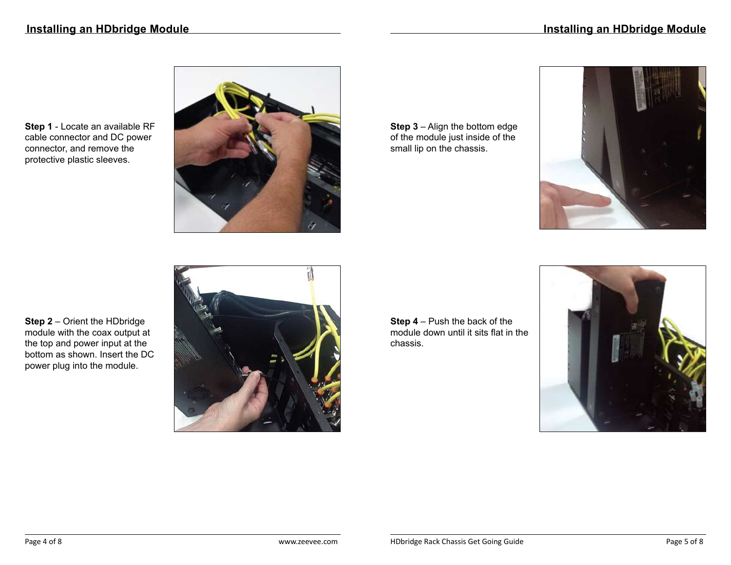**Step 1** - Locate an available RF cable connector and DC power connector, and remove the protective plastic sleeves.



**Step 3** – Align the bottom edge of the module just inside of the small lip on the chassis.



**Step 2** – Orient the HDbridge module with the coax output at the top and power input at the bottom as shown. Insert the DC power plug into the module.



**Step 4** – Push the back of the module down until it sits flat in the chassis.

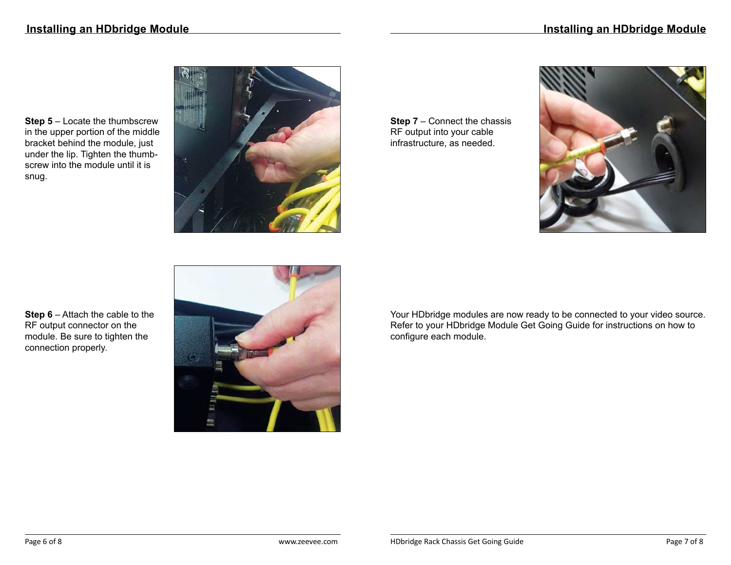**Step 5** – Locate the thumbscrew in the upper portion of the middle bracket behind the module, just under the lip. Tighten the thumbscrew into the module until it is snug.



**Step 7** – Connect the chassis RF output into your cable infrastructure, as needed.



**Step 6** – Attach the cable to the RF output connector on the module. Be sure to tighten the connection properly.



Your HDbridge modules are now ready to be connected to your video source. Refer to your HDbridge Module Get Going Guide for instructions on how to configure each module.